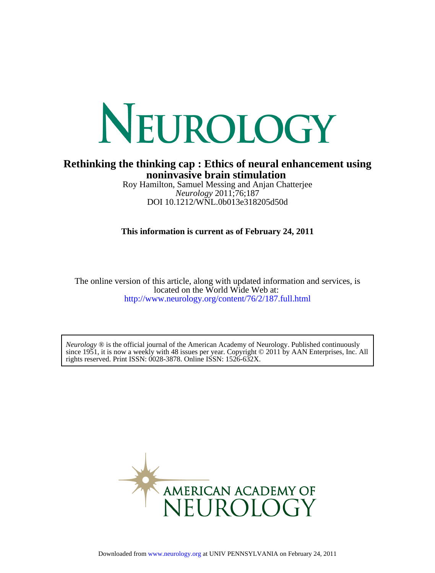

# **noninvasive brain stimulation Rethinking the thinking cap : Ethics of neural enhancement using**

DOI 10.1212/WNL.0b013e318205d50d *Neurology* 2011;76;187 Roy Hamilton, Samuel Messing and Anjan Chatterjee

# **This information is current as of February 24, 2011**

<http://www.neurology.org/content/76/2/187.full.html> located on the World Wide Web at: The online version of this article, along with updated information and services, is

rights reserved. Print ISSN: 0028-3878. Online ISSN: 1526-632X. since 1951, it is now a weekly with 48 issues per year. Copyright © 2011 by AAN Enterprises, Inc. All *Neurology* ® is the official journal of the American Academy of Neurology. Published continuously

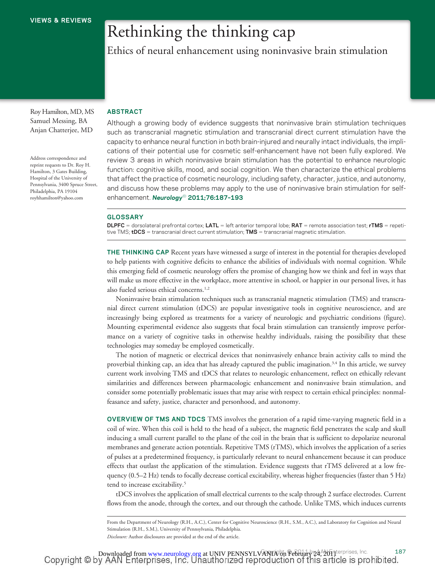# Rethinking the thinking cap

Ethics of neural enhancement using noninvasive brain stimulation

Roy Hamilton, MD, MS Samuel Messing, BA Anjan Chatterjee, MD

Address correspondence and reprint requests to Dr. Roy H. Hamilton, 3 Gates Building, Hospital of the University of Pennsylvania, 3400 Spruce Street, Philadelphia, PA 19104 royhhamilton@yahoo.com

## **ABSTRACT**

Although a growing body of evidence suggests that noninvasive brain stimulation techniques such as transcranial magnetic stimulation and transcranial direct current stimulation have the capacity to enhance neural function in both brain-injured and neurally intact individuals, the implications of their potential use for cosmetic self-enhancement have not been fully explored. We review 3 areas in which noninvasive brain stimulation has the potential to enhance neurologic function: cognitive skills, mood, and social cognition. We then characterize the ethical problems that affect the practice of cosmetic neurology, including safety, character, justice, and autonomy, and discuss how these problems may apply to the use of noninvasive brain stimulation for selfenhancement. *Neurology*® **2011;76:187–193**

#### **GLOSSARY**

**DLPFC** = dorsolateral prefrontal cortex; LATL = left anterior temporal lobe; RAT = remote association test; rTMS = repetitive TMS; **tDCS** = transcranial direct current stimulation; TMS = transcranial magnetic stimulation

**THE THINKING CAP** Recent years have witnessed a surge of interest in the potential for therapies developed to help patients with cognitive deficits to enhance the abilities of individuals with normal cognition. While this emerging field of cosmetic neurology offers the promise of changing how we think and feel in ways that will make us more effective in the workplace, more attentive in school, or happier in our personal lives, it has also fueled serious ethical concerns.<sup>1,2</sup>

Noninvasive brain stimulation techniques such as transcranial magnetic stimulation (TMS) and transcranial direct current stimulation (tDCS) are popular investigative tools in cognitive neuroscience, and are increasingly being explored as treatments for a variety of neurologic and psychiatric conditions (figure). Mounting experimental evidence also suggests that focal brain stimulation can transiently improve performance on a variety of cognitive tasks in otherwise healthy individuals, raising the possibility that these technologies may someday be employed cosmetically.

The notion of magnetic or electrical devices that noninvasively enhance brain activity calls to mind the proverbial thinking cap, an idea that has already captured the public imagination.3,4 In this article, we survey current work involving TMS and tDCS that relates to neurologic enhancement, reflect on ethically relevant similarities and differences between pharmacologic enhancement and noninvasive brain stimulation, and consider some potentially problematic issues that may arise with respect to certain ethical principles: nonmalfeasance and safety, justice, character and personhood, and autonomy.

**OVERVIEW OF TMS AND TDCS** TMS involves the generation of a rapid time-varying magnetic field in a coil of wire. When this coil is held to the head of a subject, the magnetic field penetrates the scalp and skull inducing a small current parallel to the plane of the coil in the brain that is sufficient to depolarize neuronal membranes and generate action potentials. Repetitive TMS (rTMS), which involves the application of a series of pulses at a predetermined frequency, is particularly relevant to neural enhancement because it can produce effects that outlast the application of the stimulation. Evidence suggests that rTMS delivered at a low frequency (0.5–2 Hz) tends to focally decrease cortical excitability, whereas higher frequencies (faster than 5 Hz) tend to increase excitability.<sup>5</sup>

tDCS involves the application of small electrical currents to the scalp through 2 surface electrodes. Current flows from the anode, through the cortex, and out through the cathode. Unlike TMS, which induces currents

From the Department of Neurology (R.H., A.C.), Center for Cognitive Neuroscience (R.H., S.M., A.C.), and Laboratory for Cognition and Neural Stimulation (R.H., S.M.), University of Pennsylvania, Philadelphia.

*Disclosure:* Author disclosures are provided at the end of the article.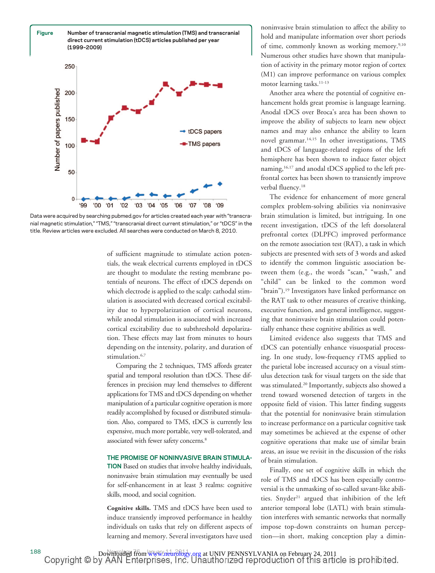

Data were acquired by searching pubmed.gov for articles created each year with "transcranial magnetic stimulation," "TMS," "transcranial direct current stimulation," or "tDCS" in the title. Review articles were excluded. All searches were conducted on March 8, 2010.

of sufficient magnitude to stimulate action potentials, the weak electrical currents employed in tDCS are thought to modulate the resting membrane potentials of neurons. The effect of tDCS depends on which electrode is applied to the scalp: cathodal stimulation is associated with decreased cortical excitability due to hyperpolarization of cortical neurons, while anodal stimulation is associated with increased cortical excitability due to subthreshold depolarization. These effects may last from minutes to hours depending on the intensity, polarity, and duration of stimulation.<sup>6,7</sup>

Comparing the 2 techniques, TMS affords greater spatial and temporal resolution than tDCS. These differences in precision may lend themselves to different applications for TMS and tDCS depending on whether manipulation of a particular cognitive operation is more readily accomplished by focused or distributed stimulation. Also, compared to TMS, tDCS is currently less expensive, much more portable, very well-tolerated, and associated with fewer safety concerns.8

## **THE PROMISE OF NONINVASIVE BRAIN STIMULA-**

**TION** Based on studies that involve healthy individuals, noninvasive brain stimulation may eventually be used for self-enhancement in at least 3 realms: cognitive skills, mood, and social cognition.

**Cognitive skills.** TMS and tDCS have been used to induce transiently improved performance in healthy individuals on tasks that rely on different aspects of learning and memory. Several investigators have used

noninvasive brain stimulation to affect the ability to hold and manipulate information over short periods of time, commonly known as working memory.<sup>9,10</sup> Numerous other studies have shown that manipulation of activity in the primary motor region of cortex (M1) can improve performance on various complex motor learning tasks.<sup>11-13</sup>

Another area where the potential of cognitive enhancement holds great promise is language learning. Anodal tDCS over Broca's area has been shown to improve the ability of subjects to learn new object names and may also enhance the ability to learn novel grammar.14,15 In other investigations, TMS and tDCS of language-related regions of the left hemisphere has been shown to induce faster object naming,<sup>16,17</sup> and anodal tDCS applied to the left prefrontal cortex has been shown to transiently improve verbal fluency.<sup>18</sup>

The evidence for enhancement of more general complex problem-solving abilities via noninvasive brain stimulation is limited, but intriguing. In one recent investigation, tDCS of the left dorsolateral prefrontal cortex (DLPFC) improved performance on the remote association test (RAT), a task in which subjects are presented with sets of 3 words and asked to identify the common linguistic association between them (e.g., the words "scan," "wash," and "child" can be linked to the common word "brain").19 Investigators have linked performance on the RAT task to other measures of creative thinking, executive function, and general intelligence, suggesting that noninvasive brain stimulation could potentially enhance these cognitive abilities as well.

Limited evidence also suggests that TMS and tDCS can potentially enhance visuospatial processing. In one study, low-frequency rTMS applied to the parietal lobe increased accuracy on a visual stimulus detection task for visual targets on the side that was stimulated.20 Importantly, subjects also showed a trend toward worsened detection of targets in the opposite field of vision. This latter finding suggests that the potential for noninvasive brain stimulation to increase performance on a particular cognitive task may sometimes be achieved at the expense of other cognitive operations that make use of similar brain areas, an issue we revisit in the discussion of the risks of brain stimulation.

Finally, one set of cognitive skills in which the role of TMS and tDCS has been especially controversial is the unmasking of so-called savant-like abilities. Snyder<sup>21</sup> argued that inhibition of the left anterior temporal lobe (LATL) with brain stimulation interferes with semantic networks that normally impose top-down constraints on human perception—in short, making conception play a dimin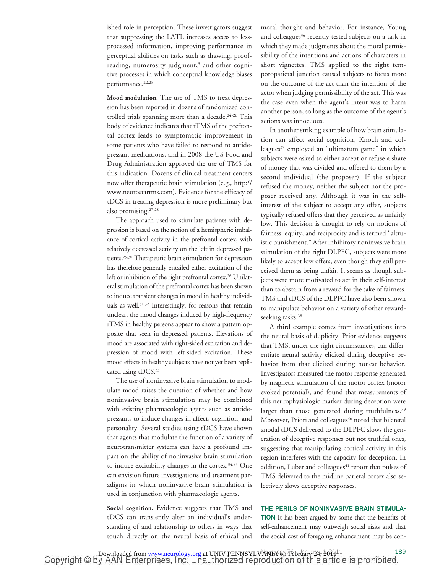ished role in perception. These investigators suggest that suppressing the LATL increases access to lessprocessed information, improving performance in perceptual abilities on tasks such as drawing, proofreading, numerosity judgment,<sup>3</sup> and other cognitive processes in which conceptual knowledge biases performance.<sup>22,23</sup>

**Mood modulation.** The use of TMS to treat depression has been reported in dozens of randomized controlled trials spanning more than a decade.<sup>24-26</sup> This body of evidence indicates that rTMS of the prefrontal cortex leads to symptomatic improvement in some patients who have failed to respond to antidepressant medications, and in 2008 the US Food and Drug Administration approved the use of TMS for this indication. Dozens of clinical treatment centers now offer therapeutic brain stimulation (e.g., http:// www.neurostartms.com). Evidence for the efficacy of tDCS in treating depression is more preliminary but also promising.27,28

The approach used to stimulate patients with depression is based on the notion of a hemispheric imbalance of cortical activity in the prefrontal cortex, with relatively decreased activity on the left in depressed patients.29,30 Therapeutic brain stimulation for depression has therefore generally entailed either excitation of the left or inhibition of the right prefrontal cortex.<sup>26</sup> Unilateral stimulation of the prefrontal cortex has been shown to induce transient changes in mood in healthy individuals as well.<sup>31,32</sup> Interestingly, for reasons that remain unclear, the mood changes induced by high-frequency rTMS in healthy persons appear to show a pattern opposite that seen in depressed patients. Elevations of mood are associated with right-sided excitation and depression of mood with left-sided excitation. These mood effects in healthy subjects have not yet been replicated using tDCS.<sup>33</sup>

The use of noninvasive brain stimulation to modulate mood raises the question of whether and how noninvasive brain stimulation may be combined with existing pharmacologic agents such as antidepressants to induce changes in affect, cognition, and personality. Several studies using tDCS have shown that agents that modulate the function of a variety of neurotransmitter systems can have a profound impact on the ability of noninvasive brain stimulation to induce excitability changes in the cortex.<sup>34,35</sup> One can envision future investigations and treatment paradigms in which noninvasive brain stimulation is used in conjunction with pharmacologic agents.

**Social cognition.** Evidence suggests that TMS and tDCS can transiently alter an individual's understanding of and relationship to others in ways that touch directly on the neural basis of ethical and moral thought and behavior. For instance, Young and colleagues<sup>36</sup> recently tested subjects on a task in which they made judgments about the moral permissibility of the intentions and actions of characters in short vignettes. TMS applied to the right temporoparietal junction caused subjects to focus more on the outcome of the act than the intention of the actor when judging permissibility of the act. This was the case even when the agent's intent was to harm another person, so long as the outcome of the agent's actions was innocuous.

In another striking example of how brain stimulation can affect social cognition, Knoch and colleagues<sup>37</sup> employed an "ultimatum game" in which subjects were asked to either accept or refuse a share of money that was divided and offered to them by a second individual (the proposer). If the subject refused the money, neither the subject nor the proposer received any. Although it was in the selfinterest of the subject to accept any offer, subjects typically refused offers that they perceived as unfairly low. This decision is thought to rely on notions of fairness, equity, and reciprocity and is termed "altruistic punishment." After inhibitory noninvasive brain stimulation of the right DLPFC, subjects were more likely to accept low offers, even though they still perceived them as being unfair. It seems as though subjects were more motivated to act in their self-interest than to abstain from a reward for the sake of fairness. TMS and tDCS of the DLPFC have also been shown to manipulate behavior on a variety of other rewardseeking tasks.<sup>38</sup>

A third example comes from investigations into the neural basis of duplicity. Prior evidence suggests that TMS, under the right circumstances, can differentiate neural activity elicited during deceptive behavior from that elicited during honest behavior. Investigators measured the motor response generated by magnetic stimulation of the motor cortex (motor evoked potential), and found that measurements of this neurophysiologic marker during deception were larger than those generated during truthfulness.<sup>39</sup> Moreover, Priori and colleagues<sup>40</sup> noted that bilateral anodal tDCS delivered to the DLPFC slows the generation of deceptive responses but not truthful ones, suggesting that manipulating cortical activity in this region interferes with the capacity for deception. In addition, Luber and colleagues<sup>41</sup> report that pulses of TMS delivered to the midline parietal cortex also selectively slows deceptive responses.

#### **THE PERILS OF NONINVASIVE BRAIN STIMULA-**

**TION** It has been argued by some that the benefits of self-enhancement may outweigh social risks and that the social cost of foregoing enhancement may be con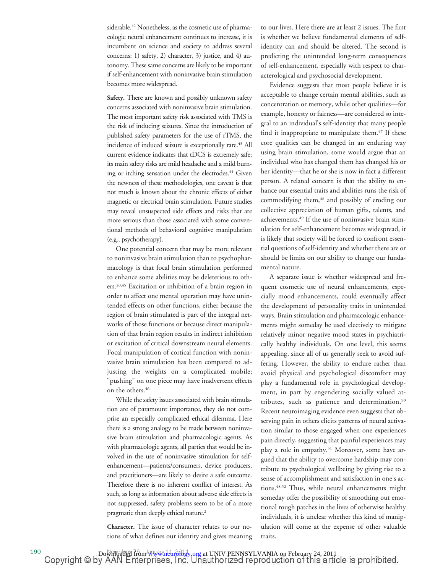siderable.<sup>42</sup> Nonetheless, as the cosmetic use of pharmacologic neural enhancement continues to increase, it is incumbent on science and society to address several concerns: 1) safety, 2) character, 3) justice, and 4) autonomy. These same concerns are likely to be important if self-enhancement with noninvasive brain stimulation becomes more widespread.

**Safety.** There are known and possibly unknown safety concerns associated with noninvasive brain stimulation. The most important safety risk associated with TMS is the risk of inducing seizures. Since the introduction of published safety parameters for the use of rTMS, the incidence of induced seizure is exceptionally rare.<sup>43</sup> All current evidence indicates that tDCS is extremely safe; its main safety risks are mild headache and a mild burning or itching sensation under the electrodes.<sup>44</sup> Given the newness of these methodologies, one caveat is that not much is known about the chronic effects of either magnetic or electrical brain stimulation. Future studies may reveal unsuspected side effects and risks that are more serious than those associated with some conventional methods of behavioral cognitive manipulation (e.g., psychotherapy).

One potential concern that may be more relevant to noninvasive brain stimulation than to psychopharmacology is that focal brain stimulation performed to enhance some abilities may be deleterious to others.20,45 Excitation or inhibition of a brain region in order to affect one mental operation may have unintended effects on other functions, either because the region of brain stimulated is part of the integral networks of those functions or because direct manipulation of that brain region results in indirect inhibition or excitation of critical downstream neural elements. Focal manipulation of cortical function with noninvasive brain stimulation has been compared to adjusting the weights on a complicated mobile; "pushing" on one piece may have inadvertent effects on the others.<sup>46</sup>

While the safety issues associated with brain stimulation are of paramount importance, they do not comprise an especially complicated ethical dilemma. Here there is a strong analogy to be made between noninvasive brain stimulation and pharmacologic agents. As with pharmacologic agents, all parties that would be involved in the use of noninvasive stimulation for selfenhancement—patients/consumers, device producers, and practitioners—are likely to desire a safe outcome. Therefore there is no inherent conflict of interest. As such, as long as information about adverse side effects is not suppressed, safety problems seem to be of a more pragmatic than deeply ethical nature.<sup>2</sup>

**Character.** The issue of character relates to our notions of what defines our identity and gives meaning to our lives. Here there are at least 2 issues. The first is whether we believe fundamental elements of selfidentity can and should be altered. The second is predicting the unintended long-term consequences of self-enhancement, especially with respect to characterological and psychosocial development.

Evidence suggests that most people believe it is acceptable to change certain mental abilities, such as concentration or memory, while other qualities—for example, honesty or fairness—are considered so integral to an individual's self-identity that many people find it inappropriate to manipulate them.<sup>47</sup> If these core qualities can be changed in an enduring way using brain stimulation, some would argue that an individual who has changed them has changed his or her identity—that he or she is now in fact a different person. A related concern is that the ability to enhance our essential traits and abilities runs the risk of commodifying them,<sup>48</sup> and possibly of eroding our collective appreciation of human gifts, talents, and achievements.49 If the use of noninvasive brain stimulation for self-enhancement becomes widespread, it is likely that society will be forced to confront essential questions of self-identity and whether there are or should be limits on our ability to change our fundamental nature.

A separate issue is whether widespread and frequent cosmetic use of neural enhancements, especially mood enhancements, could eventually affect the development of personality traits in unintended ways. Brain stimulation and pharmacologic enhancements might someday be used electively to mitigate relatively minor negative mood states in psychiatrically healthy individuals. On one level, this seems appealing, since all of us generally seek to avoid suffering. However, the ability to endure rather than avoid physical and psychological discomfort may play a fundamental role in psychological development, in part by engendering socially valued attributes, such as patience and determination.<sup>50</sup> Recent neuroimaging evidence even suggests that observing pain in others elicits patterns of neural activation similar to those engaged when one experiences pain directly, suggesting that painful experiences may play a role in empathy.<sup>51</sup> Moreover, some have argued that the ability to overcome hardship may contribute to psychological wellbeing by giving rise to a sense of accomplishment and satisfaction in one's actions.<sup>48,52</sup> Thus, while neural enhancements might someday offer the possibility of smoothing out emotional rough patches in the lives of otherwise healthy individuals, it is unclear whether this kind of manipulation will come at the expense of other valuable traits.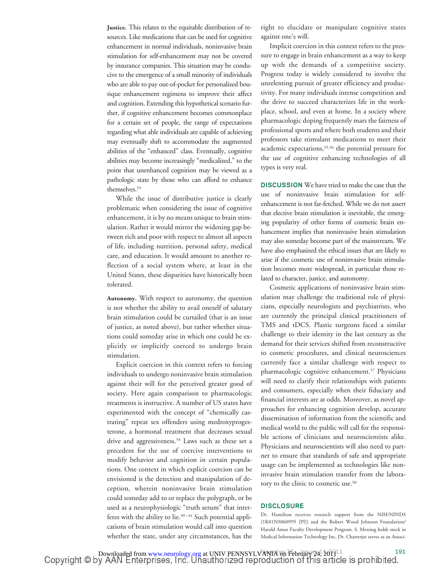**Justice.** This relates to the equitable distribution of resources. Like medications that can be used for cognitive enhancement in normal individuals, noninvasive brain stimulation for self-enhancement may not be covered by insurance companies. This situation may be conducive to the emergence of a small minority of individuals who are able to pay out-of-pocket for personalized boutique enhancement regimens to improve their affect and cognition. Extending this hypothetical scenario further, if cognitive enhancement becomes commonplace for a certain set of people, the range of expectations regarding what able individuals are capable of achieving may eventually shift to accommodate the augmented abilities of the "enhanced" class. Eventually, cognitive abilities may become increasingly "medicalized," to the point that unenhanced cognition may be viewed as a pathologic state by those who can afford to enhance themselves.<sup>53</sup>

While the issue of distributive justice is clearly problematic when considering the issue of cognitive enhancement, it is by no means unique to brain stimulation. Rather it would mirror the widening gap between rich and poor with respect to almost all aspects of life, including nutrition, personal safety, medical care, and education. It would amount to another reflection of a social system where, at least in the United States, these disparities have historically been tolerated.

**Autonomy.** With respect to autonomy, the question is not whether the ability to avail oneself of salutary brain stimulation could be curtailed (that is an issue of justice, as noted above), but rather whether situations could someday arise in which one could be explicitly or implicitly coerced to undergo brain stimulation.

Explicit coercion in this context refers to forcing individuals to undergo noninvasive brain stimulation against their will for the perceived greater good of society. Here again comparison to pharmacologic treatments is instructive. A number of US states have experimented with the concept of "chemically castrating" repeat sex offenders using medroxyprogesterone, a hormonal treatment that decreases sexual drive and aggressiveness.<sup>54</sup> Laws such as these set a precedent for the use of coercive interventions to modify behavior and cognition in certain populations. One context in which explicit coercion can be envisioned is the detection and manipulation of deception, wherein noninvasive brain stimulation could someday add to or replace the polygraph, or be used as a neurophysiologic "truth serum" that interferes with the ability to lie.<sup>39-41</sup> Such potential applications of brain stimulation would call into question whether the state, under any circumstances, has the right to elucidate or manipulate cognitive states against one's will.

Implicit coercion in this context refers to the pressure to engage in brain enhancement as a way to keep up with the demands of a competitive society. Progress today is widely considered to involve the unrelenting pursuit of greater efficiency and productivity. For many individuals intense competition and the drive to succeed characterizes life in the workplace, school, and even at home. In a society where pharmacologic doping frequently mars the fairness of professional sports and where both students and their professors take stimulant medications to meet their academic expectations,<sup>55,56</sup> the potential pressure for the use of cognitive enhancing technologies of all types is very real.

**DISCUSSION** We have tried to make the case that the use of noninvasive brain stimulation for selfenhancement is not far-fetched. While we do not assert that elective brain stimulation is inevitable, the emerging popularity of other forms of cosmetic brain enhancement implies that noninvasive brain stimulation may also someday become part of the mainstream. We have also emphasized the ethical issues that are likely to arise if the cosmetic use of noninvasive brain stimulation becomes more widespread, in particular those related to character, justice, and autonomy.

Cosmetic applications of noninvasive brain stimulation may challenge the traditional role of physicians, especially neurologists and psychiatrists, who are currently the principal clinical practitioners of TMS and tDCS. Plastic surgeons faced a similar challenge to their identity in the last century as the demand for their services shifted from reconstructive to cosmetic procedures, and clinical neurosciences currently face a similar challenge with respect to pharmacologic cognitive enhancement.<sup>57</sup> Physicians will need to clarify their relationships with patients and consumers, especially when their fiduciary and financial interests are at odds. Moreover, as novel approaches for enhancing cognition develop, accurate dissemination of information from the scientific and medical world to the public will call for the responsible actions of clinicians and neuroscientists alike. Physicians and neuroscientists will also need to partner to ensure that standards of safe and appropriate usage can be implemented as technologies like noninvasive brain stimulation transfer from the laboratory to the clinic to cosmetic use.<sup>58</sup>

### **DISCLOSURE**

Dr. Hamilton receives research support from the NIH/NINDS (1K01NS060995 [PI]) and the Robert Wood Johnson Foundation/ Harold Amos Faculty Development Program. S. Messing holds stock in Medical Information Technology Inc. Dr. Chatterjee serves as an Associ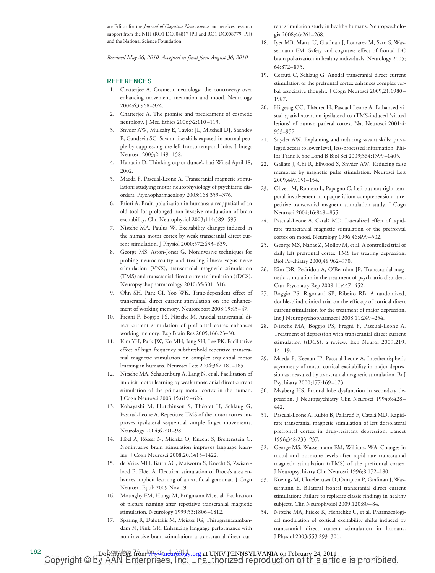ate Editor for the *Journal of Cognitive Neuroscience* and receives research support from the NIH (RO1 DC004817 [PI] and RO1 DC008779 [PI]) and the National Science Foundation.

*Received May 26, 2010. Accepted in final form August 30, 2010.*

#### **REFERENCES**

- 1. Chatterjee A. Cosmetic neurology: the controversy over enhancing movement, mentation and mood. Neurology 2004;63:968 –974.
- 2. Chatterjee A. The promise and predicament of cosmetic neurology. J Med Ethics 2006;32:110 –113.
- 3. Snyder AW, Mulcahy E, Taylor JL, Mitchell DJ, Sachdev P, Gandevia SC. Savant-like skills exposed in normal people by suppressing the left fronto-temporal lobe. J Integr Neurosci 2003;2:149 –158.
- 4. Hanuain D. Thinking cap or dunce's hat? Wired April 18, 2002.
- 5. Maeda F, Pascual-Leone A. Transcranial magnetic stimulation: studying motor neurophysiology of psychiatric disorders. Psychopharmacology 2003;168:359 –376.
- 6. Priori A. Brain polarization in humans: a reappraisal of an old tool for prolonged non-invasive modulation of brain excitability. Clin Neurophysiol 2003;114:589 –595.
- 7. Nistche MA, Paulus W. Excitability changes induced in the human motor cortex by weak transcranial direct current stimulation. J Physiol 2000;572:633– 639.
- 8. George MS, Aston-Jones G. Noninvasive techniques for probing neurocircuitry and treating illness: vagus nerve stimulation (VNS), transcranial magnetic stimulation (TMS) and transcranial direct current stimulation (tDCS). Neuropsychopharmacology 2010;35:301–316.
- 9. Ohn SH, Park CI, Yoo WK. Time-dependent effect of transcranial direct current stimulation on the enhancement of working memory. Neuroreport 2008;19:43– 47.
- 10. Fregni F, Boggio PS, Nitsche M. Anodal transcranial direct current stimulation of prefrontal cortex enhances working memory. Exp Brain Res 2005;166:23–30.
- 11. Kim YH, Park JW, Ko MH, Jang SH, Lee PK. Facilitative effect of high frequency subthreshold repetitive transcranial magnetic stimulation on complex sequential motor learning in humans. Neurosci Lett 2004;367:181–185.
- 12. Nitsche MA, Schauenburg A, Lang N, et al. Facilitation of implicit motor learning by weak transcranial direct current stimulation of the primary motor cortex in the human. J Cogn Neurosci 2003;15:619 – 626.
- 13. Kobayashi M, Hutchinson S, Théoret H, Schlaug G, Pascual-Leone A. Repetitive TMS of the motor cortex improves ipsilateral sequential simple finger movements. Neurology 2004;62:91–98.
- 14. Flöel A, Rösser N, Michka O, Knecht S, Breitenstein C. Noninvasive brain stimulation improves language learning. J Cogn Neurosci 2008;20:1415–1422.
- 15. de Vries MH, Barth AC, Maiworm S, Knecht S, Zwisterlood P, Flöel A. Electrical stimulation of Broca's area enhances implicit learning of an artificial grammar. J Cogn Neurosci Epub 2009 Nov 19.
- 16. Mottaghy FM, Hungs M, Brügmann M, et al. Facilitation of picture naming after repetitive transcranial magnetic stimulation. Neurology 1999;53:1806 –1812.
- 17. Sparing R, Dafotakis M, Meister IG, Thirugnanasambandam N, Fink GR. Enhancing language performance with non-invasive brain stimulation: a transcranial direct cur-

rent stimulation study in healthy humans. Neuropsychologia 2008;46:261–268.

- 18. Iyer MB, Mattu U, Grafman J, Lomarev M, Sato S, Wassermann EM. Safety and cognitive effect of frontal DC brain polarization in healthy individuals. Neurology 2005; 64:872– 875.
- 19. Cerruti C, Schlaug G. Anodal transcranial direct current stimulation of the prefrontal cortex enhances complex verbal associative thought. J Cogn Neurosci 2009;21:1980 – 1987.
- 20. Hilgetag CC, Théoret H, Pascual-Leone A. Enhanced visual spatial attention ipsilateral to rTMS-induced 'virtual lesions' of human parietal cortex. Nat Neurosci 2001;4: 953–957.
- 21. Snyder AW. Explaining and inducing savant skills: privileged access to lower level, less-processed information. Philos Trans R Soc Lond B Biol Sci 2009;364:1399 –1405.
- 22. Gallate J, Chi R, Ellwood S, Snyder AW. Reducing false memories by magnetic pulse stimulation. Neurosci Lett 2009;449:151–154.
- 23. Oliveri M, Romero L, Papagno C. Left but not right temporal involvement in opaque idiom comprehension: a repetitive transcranial magnetic stimulation study. J Cogn Neurosci 2004;16:848 – 855.
- 24. Pascual-Leone A, Catalá MD. Lateralized effect of rapidrate transcranial magnetic stimulation of the prefrontal cortex on mood. Neurology 1996;46:499 –502.
- 25. George MS, Nahas Z, Molloy M, et al. A controlled trial of daily left prefrontal cortex TMS for treating depression. Biol Psychiatry 2000;48:962–970.
- 26. Kim DR, Pesiridou A, O'Reardon JP. Transcranial magnetic stimulation in the treatment of psychiatric disorders. Curr Psychiatry Rep 2009;11:447– 452.
- 27. Boggio PS, Rigonatti SP, Ribeiro RB. A randomized, double-blind clinical trial on the efficacy of cortical direct current stimulation for the treatment of major depression. Int J Neuropsychopharmacol 2008;11:249 –254.
- 28. Nistche MA, Boggio PS, Fregni F, Pascual-Leone A. Treatment of depression with transcranial direct current stimulation (tDCS): a review. Exp Neurol 2009;219:  $14 - 19$ .
- 29. Maeda F, Keenan JP, Pascual-Leone A. Interhemispheric asymmetry of motor cortical excitability in major depression as measured by transcranial magnetic stimulation. Br J Psychiatry 2000;177:169 –173.
- 30. Mayberg HS. Frontal lobe dysfunction in secondary depression. J Neuropsychiatry Clin Neurosci 1994;6:428 – 442.
- 31. Pascual-Leone A, Rubio B, Pallardó F, Catalá MD. Rapidrate transcranial magnetic stimulation of left dorsolateral prefrontal cortex in drug-resistant depression. Lancet 1996;348:233–237.
- 32. George MS, Wassermann EM, Williams WA. Changes in mood and hormone levels after rapid-rate transcranial magnetic stimulation (rTMS) of the prefrontal cortex. J Neuropsychiatry Clin Neurosci 1996;8:172–180.
- 33. Koenigs M, Ukueberuwa D, Campion P, Grafman J, Wassermann E. Bilateral frontal transcranial direct current stimulation: Failure to replicate classic findings in healthy subjects. Clin Neurophysiol 2009;120:80 – 84.
- 34. Nitsche MA, Fricke K, Henschke U, et al. Pharmacological modulation of cortical excitability shifts induced by transcranial direct current stimulation in humans. J Physiol 2003;553:293–301.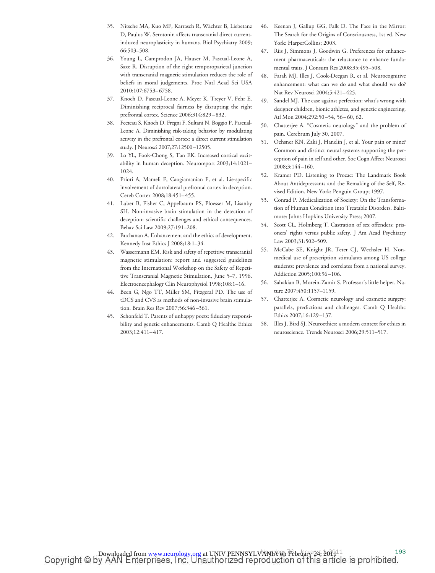- 35. Nitsche MA, Kuo MF, Karrasch R, Wächter B, Liebetanz D, Paulus W. Serotonin affects transcranial direct currentinduced neuroplasticity in humans. Biol Psychiatry 2009; 66:503–508.
- 36. Young L, Camprodon JA, Hauser M, Pascual-Leone A, Saxe R. Disruption of the right temporoparietal junction with transcranial magnetic stimulation reduces the role of beliefs in moral judgements. Proc Natl Acad Sci USA 2010;107:6753– 6758.
- 37. Knoch D, Pascual-Leone A, Meyer K, Treyer V, Fehr E. Diminishing reciprocal fairness by disrupting the right prefrontal cortex. Science 2006;314:829 – 832.
- 38. Fecteau S, Knoch D, Fregni F, Sultani N, Boggio P, Pascual-Leone A. Diminishing risk-taking behavior by modulating activity in the prefrontal cortex: a direct current stimulation study. J Neurosci 2007;27:12500 –12505.
- 39. Lo YL, Fook-Chong S, Tan EK. Increased cortical excitability in human deception. Neuroreport 2003;14:1021– 1024.
- 40. Priori A, Mameli F, Caogiamanian F, et al. Lie-specific involvement of dorsolateral prefrontal cortex in deception. Cereb Cortex 2008;18:451– 455.
- 41. Luber B, Fisher C, Appelbaum PS, Ploesser M, Lisanby SH. Non-invasive brain stimulation in the detection of deception: scientific challenges and ethical consequences. Behav Sci Law 2009;27:191–208.
- 42. Buchanan A. Enhancement and the ethics of development. Kennedy Inst Ethics J 2008;18:1–34.
- 43. Wassermann EM. Risk and safety of repetitive transcranial magnetic stimulation: report and suggested guidelines from the International Workshop on the Safety of Repetitive Transcranial Magnetic Stimulation, June 5–7, 1996. Electroencephalogr Clin Neurophysiol 1998;108:1–16.
- 44. Been G, Ngo TT, Miller SM, Fitzgeral PD. The use of tDCS and CVS as methods of non-invasive brain stimulation. Brain Res Rev 2007;56:346 –361.
- 45. Schonfeld T. Parents of unhappy poets: fiduciary responsibility and genetic enhancements. Camb Q Healthc Ethics 2003;12:411– 417.
- 46. Keenan J, Gallup GG, Falk D. The Face in the Mirror: The Search for the Origins of Consciousness, 1st ed. New York: HarperCollins; 2003.
- 47. Riis J, Simmons J, Goodwin G. Preferences for enhancement pharmaceuticals: the reluctance to enhance fundamental traits. J Consum Res 2008;35:495–508.
- 48. Farah MJ, Illes J, Cook-Deegan R, et al. Neurocognitive enhancement: what can we do and what should we do? Nat Rev Neurosci 2004;5:421– 425.
- 49. Sandel MJ. The case against perfection: what's wrong with designer children, bionic athletes, and genetic engineering. Atl Mon 2004;292:50-54, 56-60, 62.
- 50. Chatterjee A. "Cosmetic neurology" and the problem of pain. Cerebrum July 30, 2007.
- 51. Ochsner KN, Zaki J, Hanelin J, et al. Your pain or mine? Common and distinct neural systems supporting the perception of pain in self and other. Soc Cogn Affect Neurosci 2008;3:144 –160.
- 52. Kramer PD. Listening to Prozac: The Landmark Book About Antidepressants and the Remaking of the Self, Revised Edition. New York: Penguin Group; 1997.
- 53. Conrad P. Medicalization of Society: On the Transformation of Human Condition into Treatable Disorders. Baltimore: Johns Hopkins University Press; 2007.
- 54. Scott CL, Holmberg T. Castration of sex offenders: prisoners' rights versus public safety. J Am Acad Psychiatry Law 2003;31:502–509.
- 55. McCabe SE, Knight JR, Teter CJ, Wechsler H. Nonmedical use of prescription stimulants among US college students: prevalence and correlates from a national survey. Addiction 2005;100:96 –106.
- 56. Sahakian B, Morein-Zamir S. Professor's little helper. Nature 2007;450:1157–1159.
- 57. Chatterjee A. Cosmetic neurology and cosmetic surgery: parallels, predictions and challenges. Camb Q Healthc Ethics 2007;16:129 –137.
- 58. Illes J, Bird SJ. Neuroethics: a modern context for ethics in neuroscience. Trends Neurosci 2006;29:511–517.